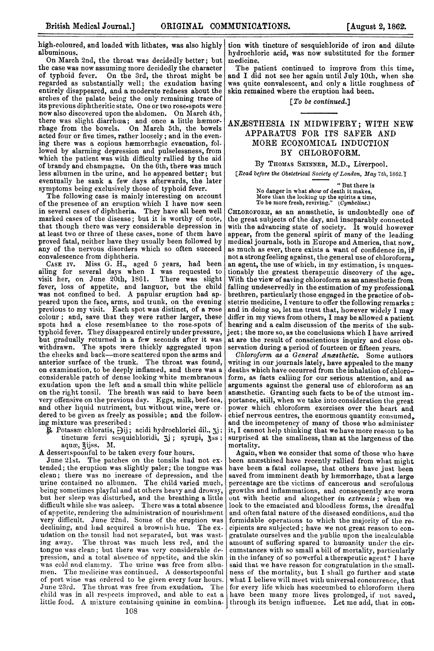tion with tincture of sesquichloride of iron and dilute. hydrochloric acid, was now substituted for the former medicine.

The patient continued to improve from this time,<br>and I did not see her again until July 10th, when she<br>was quite convalescent, and only a little roughness of skin remained where the eruption had been.

[To be continued.]

## ANAESTHESIA IN MIDWIFERY; WITH NEW APPARATUS FOR ITS SAFER AND MORE ECONOMICAL INDUCTION<br>BY CHLOROFORM. CHLOROFORM.

By THOMAS SKINNER, M.D., Liverpool.

[Read before the Obstetrical Society of London, May 7th, 1862.]

" But there is No danger in what show of death it makes, More than the locking up the spirits a time,<br>To be more fresh, reviving." (*Cymbeline*.)

CHLOROFORM, as an ancesthetic, is undoubtedly one of the great subjects of the day, and inseparably connected with the advancing state of society. It would however appear, from the general spirit of many of the leading medical journals, both in Europe and America, that now, as much as ever, there exists a want of confidence in, if not a strongfeeling against, the general use of chloroform an agent, the use of wlich, in my estimation, is unques-tionably the greatest therapeutic discovery of the age. With the view of saving chloroform as an anæsthetic from falling undeservedly in the estimation of my professional brethren, particularly those engaged in the practice of ob. stetric medicine, I venture to offer the following remarks and in doing so, let me trust that, however widely <sup>I</sup> may differ in my views from others, <sup>I</sup> may be allowed <sup>a</sup> patient hearing and a calm discussion of the merits of the subject; the more so, as the conclusions which I have arrived at are the result of conscientious inquiry and close ob-servation during a period of fourteen or fifteen years.

Chloroform as a General Anasthetic. Some authors writing in our journals lately, have appealed to the many deaths which have occurred from the inhalation of chloroform, as facts caliing for our serious attention, and as arguments against the general use of chloroform as an ancesthetic. Granting such facts to be of the utmost importance, still, when we take into consideration the great power which chloroform exercises over the heart and<br>chief nervous centres, the enormous quantity consumed<sub>s</sub><br>and the incompetency of many of those who administer<br>it, I cannot help thinking that we have more reason to be surprised at the smallness, than at the largeness of tha mortality.

Again, when we consider that some of those who have been antsthised have recently rallied from what might<br>have been a fatal collapse, that others have just been<br>saved from imminent death by hemorrhage, that a large<br>percentage are the victims of cancerous and scrofulous growths and inflammations, and consequently are worn<br>out with hectic and altogether *in extremis* ; when we<br>look to the emaciated and bloodless forms, the dreadful and often fatal nature of the diseased conditions, and the<br>formidable operations to which the majority of the re-<br>cipients are subjected ; have we not great reason to congratulate ourselves and the public upon the incalculable<br>amount of suffering spared to humanity under the cir-<br>cumstances with so small a bill of mortality, particularly<br>in the infancy of so powerful a therapeutic agent? I said that we have reason for congratulation in the smallness of the mortality, but I shall go further and state what I believe will meet with universal concurrence, that for every life wlhich has succumbed to chloroform there have been many more lives prolonged, if not saved,<br>through its benign influence. Let me add, that in con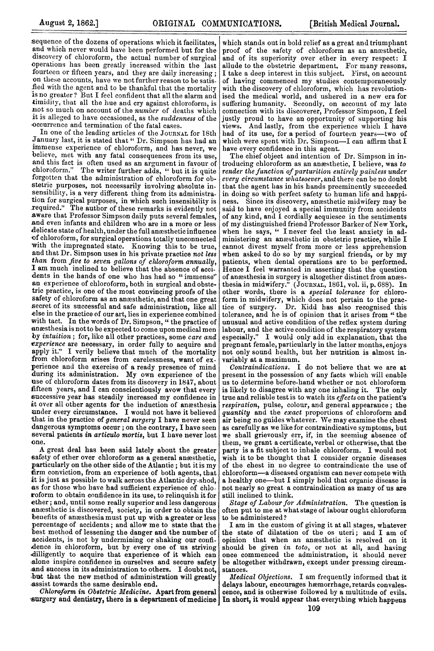sequence of the dozens of operations which it facilitates, and which never would have been performed but for the discovery of chloroform, the actual number of surgical operations has been greatly increased within the last fourteen or fifteen years, and they are daily increasing; on these accounts, have we not further reason to be satisfied with the agent and to be thankful that the mortality is no greater? But <sup>I</sup> feel confident that all the alarm and timidity, that all the hue and cry against chloroform, is anot so much on account of the number of deaths which it is alleged to have occasioned, as the suddenness of the occurrence and termination of the fatal cases.

In one of the leading articles of the JOURNAL for 18th January last, it is stated that " Dr. Simpson has had an immense experience of chloroform, and has never, we believe, met with any fatal consequences from its use, and this fact is often used as an argument in favour of chloroform." The writer further adds. " but it is quite The writer further adds, " but it is quite forgotten that the administration of chloroform for ob stetric purposes, not necessarily involving absolute insensibility, is a very different thing from its administrasensibility, is <sup>a</sup> very different thing from its administra- tion for surgical purposes, in which such insensibility is required." The author of these remarks is evidently not aware that Professor Simpson daily puts several females, and even infants and children who are in <sup>a</sup> more or less delicate state of health, under the full anesthetic influence of chloroforrn, for surgical operations totally unconnected with the impregnated state. Knowing this to be true, and that Dr. Simpson uses in his private practice not less than from five to seven gallons of chloroform annually, I am much inclined to believe that the absence of accidents in the hands of one who has had so " immense" an experience of chloroform, both in surgical and obstetric practice, is one of the most convincing proofs of the safety of chloroform as an ancesthetic, and that one great secret of its successful and safe administration, like all else in the practice of our art, lies in experience combined with tact. In the words of Dr. Simpson, " the practice of anæsthesia is not to be expected to come upon medical men by intuition; for, like all other practices, some care and experience are necessary, in order fully to acquire and apply it." I verily believe that much of the mortality from chloroform arises from carelessness, want of experience and the exercise of <sup>a</sup> ready presence of mind during its administration. My own experience of the use of chloroform dates from its discovery in 1847, about<br>fifteen years, and I can conscientiously avow that every successive year has steadily increased my confidence in at over all other agents for the induction of anesthesia<br>under every circumstance. I would not have it believed that in the practice of general surgery I have never seen dangerous symptoms occur; on the contrary, <sup>I</sup> have seen several patients in articulo mortis, but I have never lost one.

A great deal has been said lately about the greater safety of ether over chloroform as a general anesthetic, particularly on the other side of the Atlantic; but it is my firm conviction, from an experience of both agents, that it is just as possible to walk across the Atlantic dry-shod, as for those who have had sufficient experience of chloroform to obtain confidence in its use, to relinquish it for ether; and, until some really superior and less dangerous anassthetic is discovered, society, in order to obtain the benefits of anæsthesia must put up with a greater or less percentage of accidents; and allow me to state that the best method of lessening the danger and the number of accidents, is not by undermining or shaking our confidilligently to acquire that experience of it which can alone inspire confidence in ourselves and secure safety -and success in its administration to others. I doubt not, ,but that the new method of administration will greatly -assist towards the same desirable end.

Chloroform in Obstetric Medicine. Apart from general

which stands out in bold relief as a great and triumphant proof of the safety of chloroform as an anaesthetic, and of its superiority over ether in every respect: I allude to the obstetric department. For many reasons, I take a deep interest in this subject. First, on account of having commenced my studies contemporaneously with the discovery of chloroform, which has revolutionised the medical world, and ushered in a new era for suffering humanity. Secondly, on account of my late connection with its discoverer, Professor Simpson, I feel justly proud to have an opportunity of supporting his views. And lastly, from the experience which I have And lastly, from the experience which I have had of its use, for a period of fourteen years-two of which were spent with Dr. Simpson-I can affirm that I have every confidence in this agent.

The chief object and intention of Dr. Simpson in introducing chloroform as an anesthetic, I believe, was to render the function of parturition entirely painless under every circumstance whatsoever, and there can be no doubt that the agent has in his hands preeminently succeeded in doing so with perfect safety to human life and happiness. Since its discovery, anesthetic midwifery may be said to have enjoyed a special immunity from accidents of any kind, and I cordially acquiesce in the sentiments of my distinguished friend Professor Barker of New York, when he says, " I never feel the least anxiety in administering an anaesthetic in obstetric practice, while I cannot divest myself from more or less apprehension when asked to do so by my surgical friends, or by my patients, when dental operations are to be performed. Hence I feel warranted in asserting that the question of anæsthesia in surgery is altogether distinct from anæsthesia in midwifery." (JOURNAL, 1801, vol. ii, p. 688). In other words, there is a special tolerance for chloroform in midwifery, which does not pertain to the prac-tice of surgery. Dr. Kidd has also recognised this tolerance, and he is of opinion that it arises from " the unusual and active condition of the reflex system during labour, and the active condition of the respiratory system especially." I would only add in explanation, that the pregnant female, particularly in the latter months, enjoys not only sound health, but her nutrition is almost invariably at a maximum.

Contraindications. I do not believe that we are at present in the possession of any facts which will enable us to determine before-hand whether or not chloroform<br>is likely to disagree with any one inhaling it. The only is likely to disagree with any one inhaling it. true and reliable test is to watch its effects on the patient's respiration, pulse, colour, and general appearance ; the quantity and the exact proportions of chloroform and air being no guides whatever. We may examine the chest as carefully as we like for contrairndicative symptoms, but we shall grievously err, if, in the seeming absence of them, we grant a certificate, verbal or otherwise, that the party is a fit subject to inhale chloroform. I would not wish it to be thought that I consider organic diseases of the chest in no degree to contraindicate the use of chloroform-a diseased organism can never compete with a healthy one-but I simply hold that organic disease is not nearly so great a contraindication as many of us are still inclined to think.

Stage of Labour for Admintistration. The question is often put to me at what stage of labour ought chloroform to be administered?

I am in the custom of giving it at all stages, whatever the state of dilatation of the os uteri; and I am of opinion that when an anesthetic is resolved on it should be given in toto, or not at all, and having once commenced the administration, it should never be altogether withdrawn, except under pressing circumstances.

surgery and dentistry, there is a department of medicine | In short, it would appear that everything which happens Medical Objections. I am frequently informed that it delays labour, encourages hemorrhage, retards convales. cence, and is otherwise followed by a multitude of evils.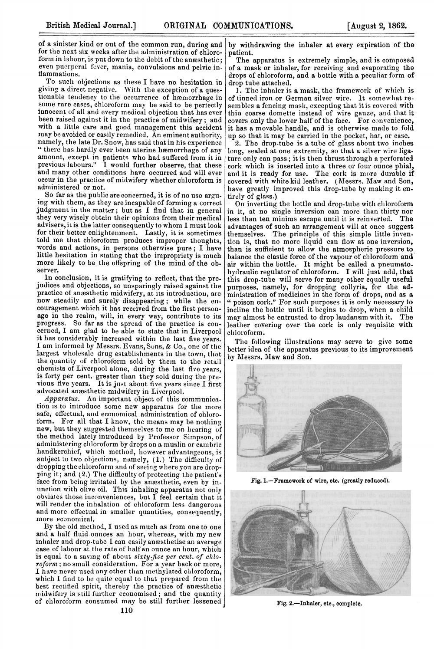of <sup>a</sup> sinister kind or out of the common run, during and for the next six weeks after the administration of chloroform in labour, is put down to the debit of the anæsthetic: even puerperal fever, mania, convulsions and pelvic inflammations.

To such objections as these <sup>I</sup> have no hesitation in giving a direct negative. With the exception of a questionable tendency to the occurrence of hæmorrhage in some rare cases, chloroform may be said to be pertectly innocent of all and every medical objection that has ever been raised against it in the practice of midwifery; and with a little care and good management this accident may be avoided or easily remedied. An eminent authority, namely, the late Dr. Snow, has said that in his experience "there has hardly ever been uterine heemorrhage of any amount, except in patients who had suffered 1rom it in previous labours." <sup>I</sup> would further observe, that these and many other conditions have occurred and will ever occur in the practice of midwifery whether chloroform is administered or not.

So far as the public are concerned, it is of no use arguing with them, as they are incapable of forming a correct judgment in the matter; but as <sup>I</sup> find that in general they very wisely obtain their opinions from their medical advisers, it is the latter consequently to whom <sup>I</sup> must look for their better enlightenment. Lastly, it is sometimes told me that chloroform produces improper thoughts, words and actions, in persons otherwise pure; <sup>I</sup> have little hesitation in stating that the impropriety is much more likely to be the offspring of the mind of the observer.

In conclusion, it is gratifying to reflect, that the pre judices and objections, so unsparingly raised against the practice of anaesthetic midwifery, at its introduction, are now steadily and surely disappearing; while the encouragement which it has received from the first personage in the realm, will, in every way, contribute to its progress. So far as the spread of the practice is concerned, <sup>I</sup> am glad to be able to state that in Liverpool it has considerably increased within the last five years. <sup>I</sup> am informed by Messrs. Evans, Suns, & Co., one of the largest wholesale drug establishments in the town, that the quantity of chloroform sold by them to the retail chemists of Liverpool alone, during the last five years, is forty per cent. greater than they sold during the previous five years. It is just about five years since I first advocated anæsthetic midwifery in Liverpool.

Apparatus. Au important object of this communication is to introduce some new apparatus for the more safe, effectual, and economical administration of chloroform. For all that <sup>I</sup> know, the means may be nothing new, but they suggested themselves to me on hearing of the method lately introduced by Professor Simpson, of administering chloroform by drops on a muslin or cambric handkerchief, which method, however advantageous, is subject to two objections, namely, (1.) The difficulty of dropping the chloroform and of seeing where you are drop ping it; and (2.) The difficulty of protecting the patient's face from being irritated by the anæsthetic, even by inunction with olive oil. This inhaling apparatus not only obviates those inconveniences, but  $I$  feel certain that it will render the inhalation of chloroform less dangerous and more effectual in smaller quantities, consequently, more economical.

By the old method, <sup>I</sup> used as much as from one to one and a half fluid-ounces an hour, whereas, with my new inhaler and drop-tube I can easily anæsthetise an average case of labour at the rate of half an ounce an hour, which is equal to a saving of about sixty-five per cent. of chloroform; no small consideration. For <sup>a</sup> year back or more, I have never used any other than methylated chloroform, which <sup>I</sup> find to be quite equal to that prepared from the best rectified spirit, thereby the practice of anesthetic midwifery is still further economised; and the quantity of chloroform consumed mnay be still further lessened

by withdrawing the inhaler at every expiration of the patient.

The apparatus is extremely simple, and is composed of a mask or inhaler, for receiving and evaporating the drops of chloroform, and a bottle with a peculiar form of drop-tube attached.

1. The inhaler is a mask, the framework of which is of tinned iron or German silver wire. It somewhat resembles a fencing mask, excepting that it is covered with thin coarse domette instead of wire gauze, and that it covers only the lower half of the face. For convenience, it has a movable handle, and is otherwise made to fold up so that it may be carried in the pocket, hat, or case.

2. The drop-tube is a tube of glass about two inches long, sealed at one extremity, so that a silver wire liga. ture only can pass; it is then thrust through a perforated cork which is inserted into a three or four ounce phial, and it is ready for use. The cork is more durable if covered with white kid leather. (Messrs. Maw and Son, have greatly improved this drop-tube by making it entirely of glass.)

On inverting the bottle and drop-tube with chloroform in it, at no single inversion can more than thirty nor less than ten minims escape until it is reinverted. The advantages of such an arrangement will at once suggest themselves. The principle of this simple little invention is, that no more liquid can flow at one inversion, than is sufficient to allow the atmospheric pressure to balance the elastic force of the vapour of chloroform and air within the bottle. It might be called a pneumatohydraulic regulator of chloroform. I will just add, that this drop-tube will serve for many other equally useful purposes, namely, for dropping collyria, for the administration of medicines in the form of diops, and as a " poison cork." For such purposes it is only necessary to incline the bottle until it begins to drop, when a child may almost be entrusted to drop laudanum with it. The leather covering over the cork is only requisite with chloroform.

The following illustrations may serve to give some better idea of the apparatus previous to its improvement by Messrs. Maw and Son.



Fig. 1.-Framework of wire, etc. (greatly reduced).



Fig. 2.-Inhaler, etc., complete.